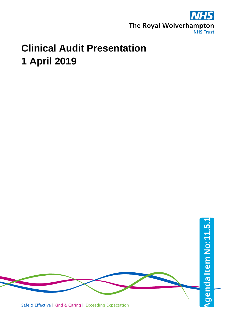

#### **Clinical Audit Presentation 1 April 2019**

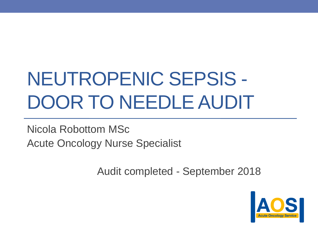# NEUTROPENIC SEPSIS - DOOR TO NEEDLE AUDIT

Nicola Robottom MSc Acute Oncology Nurse Specialist

Audit completed - September 2018

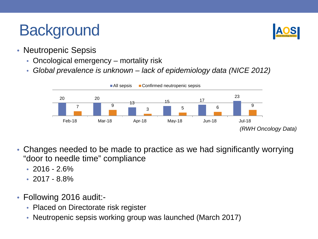### **Background**



- Neutropenic Sepsis
	- Oncological emergency mortality risk
	- *Global prevalence is unknown – lack of epidemiology data (NICE 2012)*



- Changes needed to be made to practice as we had significantly worrying "door to needle time" compliance
	- $\cdot$  2016 2.6%
	- $\cdot$  2017 8.8%
- Following 2016 audit:-
	- Placed on Directorate risk register
	- Neutropenic sepsis working group was launched (March 2017)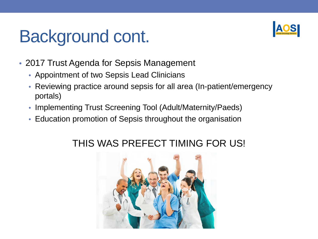## Background cont.



- 2017 Trust Agenda for Sepsis Management
	- Appointment of two Sepsis Lead Clinicians
	- Reviewing practice around sepsis for all area (In-patient/emergency portals)
	- Implementing Trust Screening Tool (Adult/Maternity/Paeds)
	- Education promotion of Sepsis throughout the organisation

#### THIS WAS PREFECT TIMING FOR US!

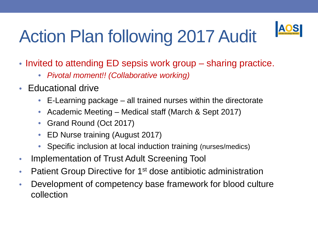# Action Plan following 2017 Audit



- Invited to attending ED sepsis work group sharing practice.
	- *Pivotal moment!! (Collaborative working)*
- Educational drive
	- E-Learning package all trained nurses within the directorate
	- Academic Meeting Medical staff (March & Sept 2017)
	- Grand Round (Oct 2017)
	- ED Nurse training (August 2017)
	- Specific inclusion at local induction training (nurses/medics)
- Implementation of Trust Adult Screening Tool
- Patient Group Directive for 1<sup>st</sup> dose antibiotic administration
- Development of competency base framework for blood culture collection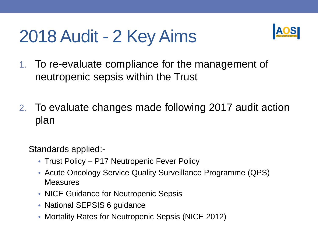## 2018 Audit - 2 Key Aims



- 1. To re-evaluate compliance for the management of neutropenic sepsis within the Trust
- 2. To evaluate changes made following 2017 audit action plan

Standards applied:-

- Trust Policy P17 Neutropenic Fever Policy
- Acute Oncology Service Quality Surveillance Programme (QPS) **Measures**
- NICE Guidance for Neutropenic Sepsis
- National SEPSIS 6 guidance
- Mortality Rates for Neutropenic Sepsis (NICE 2012)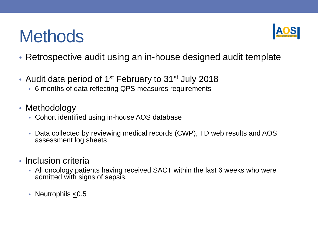### **Methods**



- Retrospective audit using an in-house designed audit template
- Audit data period of 1<sup>st</sup> February to 31<sup>st</sup> July 2018
	- 6 months of data reflecting QPS measures requirements
- Methodology
	- Cohort identified using in-house AOS database
	- Data collected by reviewing medical records (CWP), TD web results and AOS assessment log sheets
- Inclusion criteria
	- All oncology patients having received SACT within the last 6 weeks who were admitted with signs of sepsis.
	- Neutrophils < 0.5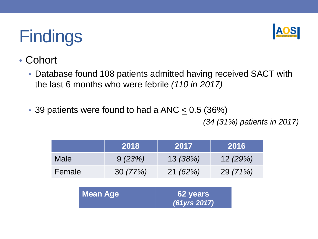

- Cohort
	- Database found 108 patients admitted having received SACT with the last 6 months who were febrile *(110 in 2017)*
	- 39 patients were found to had a ANC  $\leq$  0.5 (36%)

*(34 (31%) patients in 2017)*

|                 | 2018    | 2017                     | 2016     |
|-----------------|---------|--------------------------|----------|
| <b>Male</b>     | 9(23%)  | 13(38%)                  | 12(29%)  |
| Female          | 30(77%) | 21(62%)                  | 29 (71%) |
| <b>Mean Age</b> |         | 62 years<br>(61yrs 2017) |          |
|                 |         |                          |          |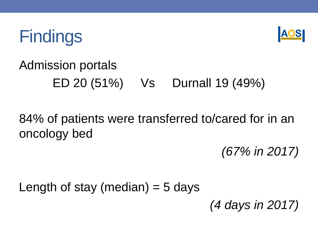



### Admission portals ED 20 (51%) Vs Durnall 19 (49%)

### 84% of patients were transferred to/cared for in an oncology bed

*(67% in 2017)*

Length of stay (median)  $=$  5 days

*(4 days in 2017)*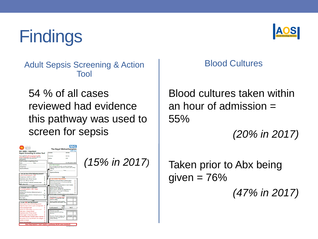Adult Sepsis Screening & Action Tool

54 % of all cases reviewed had evidence this pathway was used to screen for sepsis





#### Blood Cultures

Blood cultures taken within an hour of admission  $=$ 55%

*(20% in 2017)*

Taken prior to Abx being given  $= 76\%$ 

*(47% in 2017)*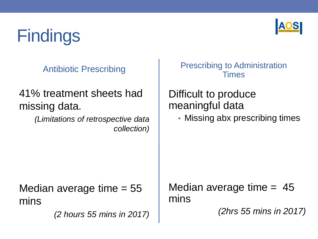

Antibiotic Prescribing

#### 41% treatment sheets had missing data.

*(Limitations of retrospective data collection)* Prescribing to Administration Times

#### Difficult to produce meaningful data

• Missing abx prescribing times

Median average time  $= 55$ mins

*(2 hours 55 mins in 2017)*

Median average time  $= 45$ mins

*(2hrs 55 mins in 2017)*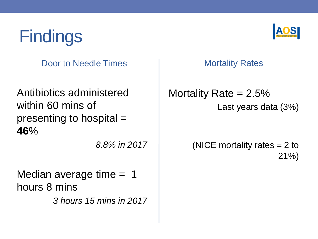Door to Needle Times

Antibiotics administered within 60 mins of presenting to hospital = **46**%

*8.8% in 2017*

Median average time = 1 hours 8 mins

*3 hours 15 mins in 2017*



Mortality Rates

Mortality Rate  $= 2.5\%$ Last years data (3%)

> (NICE mortality rates = 2 to 21%)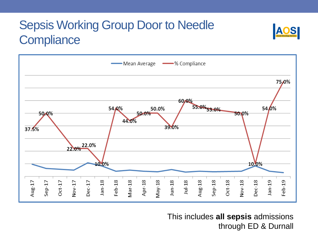### Sepsis Working Group Door to Needle **Compliance**



This includes **all sepsis** admissions through ED & Durnall

S